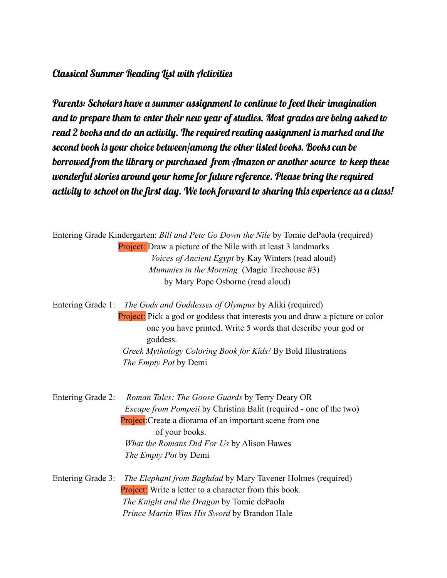## Classical Summer Reading List with Activities

Parents: Scholars have a summer assignment to continue to feed their imagination and to prepare them to enter their new year of studies. Most grades are being asked to read 2 books and do an activity. The required reading assignment is marked and the second book is your choice between/among the other listed books. Books can be borrowed from the library or purchased from Amazon or another source to keep these wonderful stories around your home for future reference. Please bring the required activity to school on the first day. We look forward to sharing this experience as a class!

Entering Grade Kindergarten: *Bill and Pete Go Down the Nile* by Tomie dePaola (required) Project: Draw a picture of the Nile with at least 3 landmarks *Voices of Ancient Egypt* by Kay Winters (read aloud) *Mummies in the Morning* (Magic Treehouse #3) by Mary Pope Osborne (read aloud)

Entering Grade 1: *The Gods and Goddesses of Olympus* by Aliki (required) Project: Pick a god or goddess that interests you and draw a picture or color one you have printed. Write 5 words that describe your god or goddess. *Greek Mythology Coloring Book for Kids!* By Bold Illustrations *The Empty Pot* by Demi

Entering Grade 2: *Roman Tales: The Goose Guards* by Terry Deary OR *Escape from Pompeii* by Christina Balit (required - one of the two) **Project:** Create a diorama of an important scene from one of your books. *What the Romans Did For Us* by Alison Hawes *The Empty Pot* by Demi

Entering Grade 3: *The Elephant from Baghdad* by Mary Tavener Holmes (required) Project: Write a letter to a character from this book. *The Knight and the Dragon* by Tomie dePaola *Prince Martin Wins His Sword* by Brandon Hale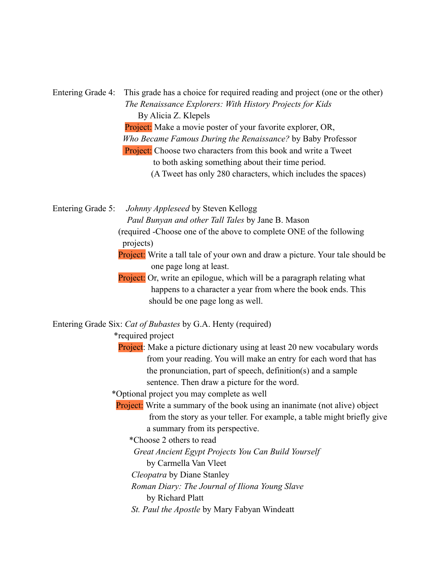Entering Grade 4: This grade has a choice for required reading and project (one or the other) *The Renaissance Explorers: With History Projects for Kids* By Alicia Z. Klepels Project: Make a movie poster of your favorite explorer, OR, *Who Became Famous During the Renaissance?* by Baby Professor Project: Choose two characters from this book and write a Tweet to both asking something about their time period. (A Tweet has only 280 characters, which includes the spaces)

Entering Grade 5: *Johnny Appleseed* by Steven Kellogg *Paul Bunyan and other Tall Tales* by Jane B. Mason (required -Choose one of the above to complete ONE of the following projects)

> Project: Write a tall tale of your own and draw a picture. Your tale should be one page long at least.

Project: Or, write an epilogue, which will be a paragraph relating what happens to a character a year from where the book ends. This should be one page long as well.

Entering Grade Six: *Cat of Bubastes* by G.A. Henty (required)

\*required project

Project: Make a picture dictionary using at least 20 new vocabulary words from your reading. You will make an entry for each word that has the pronunciation, part of speech, definition(s) and a sample sentence. Then draw a picture for the word.

\*Optional project you may complete as well

Project: Write a summary of the book using an inanimate (not alive) object from the story as your teller. For example, a table might briefly give a summary from its perspective.

\*Choose 2 others to read

*Great Ancient Egypt Projects You Can Build Yourself*

by Carmella Van Vleet

*Cleopatra* by Diane Stanley

*Roman Diary: The Journal of Iliona Young Slave*

by Richard Platt

*St. Paul the Apostle* by Mary Fabyan Windeatt